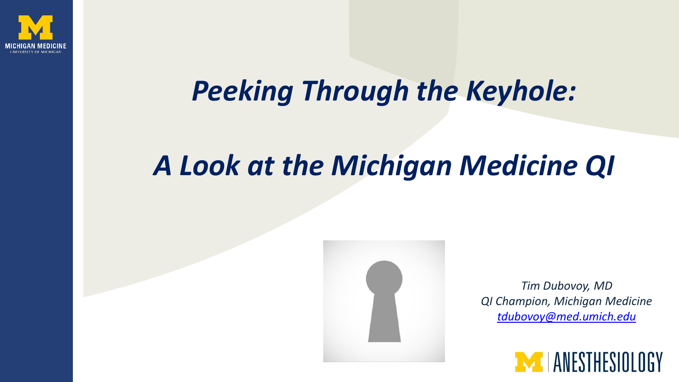

#### *Peeking Through the Keyhole:*

#### *A Look at the Michigan Medicine QI*



*Tim Dubovoy, MD QI Champion, Michigan Medicine [tdubovoy@med.umich.edu](mailto:tdubovoy@med.umich.edu)*

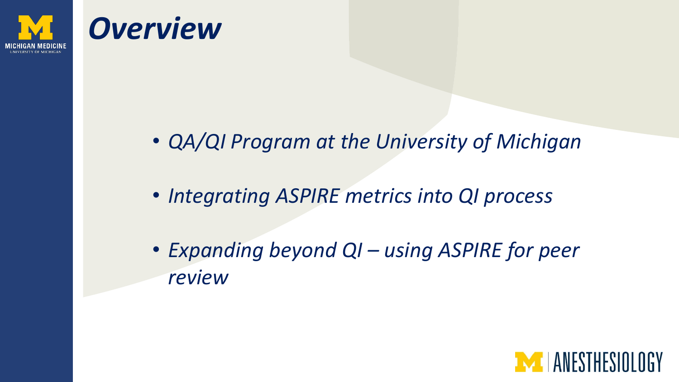

#### *Overview*

- *QA/QI Program at the University of Michigan*
- *Integrating ASPIRE metrics into QI process*
- *Expanding beyond QI – using ASPIRE for peer review*

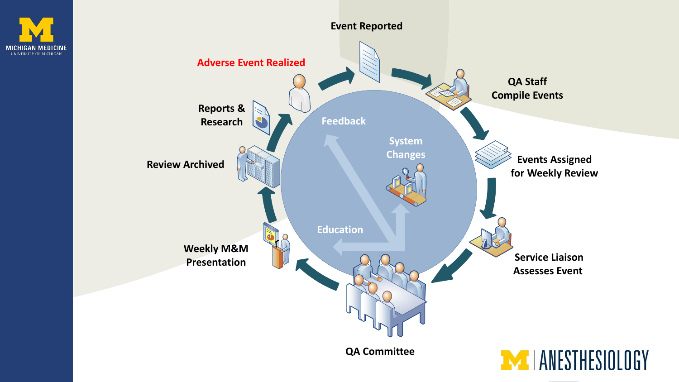



**QA Committee**

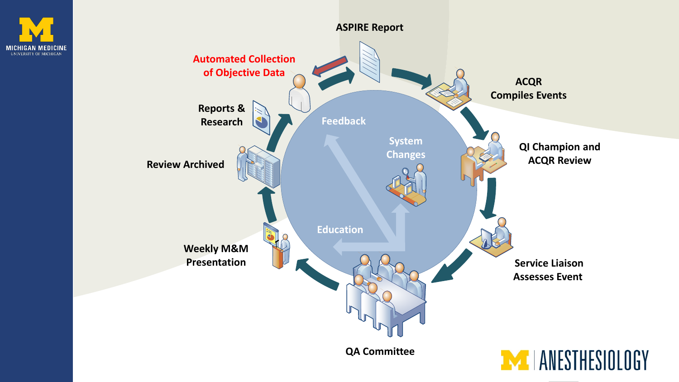



**QA Committee**

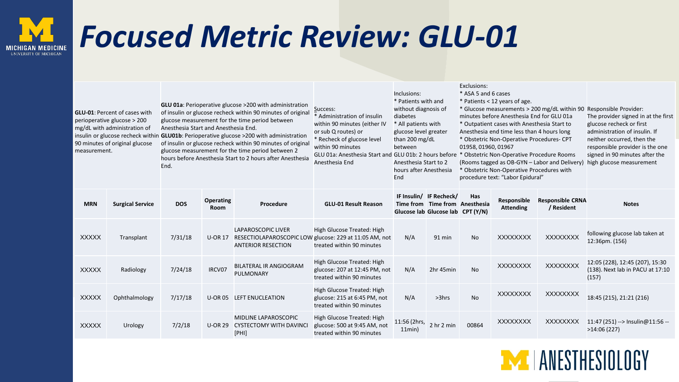## *Focused Metric Review: GLU-01*

| <b>GLU-01: Percent of cases with</b><br>perioperative glucose > 200<br>mg/dL with administration of<br>90 minutes of original glucose<br>measurement. |                         | <b>GLU 01a:</b> Perioperative glucose >200 with administration<br>of insulin or glucose recheck within 90 minutes of original<br>glucose measurement for the time period between<br>Anesthesia Start and Anesthesia End.<br>insulin or glucose recheck within GLU01b: Perioperative glucose >200 with administration<br>of insulin or glucose recheck within 90 minutes of origina<br>glucose measurement for the time period between 2<br>hours before Anesthesia Start to 2 hours after Anesthesia<br>End. |                          |                                                                         | Success:<br>* Administration of insulin<br>within 90 minutes (either IV<br>or sub Q routes) or<br>* Recheck of glucose level<br>within 90 minutes<br>GLU 01a: Anesthesia Start and GLU 01b: 2 hours before * Obstetric Non-Operative Procedure Rooms<br>Anesthesia End | Inclusions:<br>* Patients with and<br>without diagnosis of<br>diabetes<br>* All patients with<br>glucose level greater<br>than 200 mg/dL<br>between<br>Anesthesia Start to 2<br>hours after Anesthesia<br>End |                                                                                      | * ASA 5 and 6 cases<br>01958, 01960, 01967 | * Patients < 12 years of age.<br>minutes before Anesthesia End for GLU 01a<br>* Outpatient cases with Anesthesia Start to<br>Anesthesia end time less than 4 hours long<br>* Obstetric Non-Operative Procedures- CPT<br>(Rooms tagged as OB-GYN – Labor and Delivery)<br>* Obstetric Non-Operative Procedures with<br>procedure text: "Labor Epidural" | * Glucose measurements > 200 mg/dL within 90 Responsible Provider:<br>The provider signed in at the first<br>glucose recheck or first<br>administration of insulin. If<br>neither occurred, then the<br>responsible provider is the one<br>signed in 90 minutes after the<br>high glucose measurement |                                                                              |
|-------------------------------------------------------------------------------------------------------------------------------------------------------|-------------------------|--------------------------------------------------------------------------------------------------------------------------------------------------------------------------------------------------------------------------------------------------------------------------------------------------------------------------------------------------------------------------------------------------------------------------------------------------------------------------------------------------------------|--------------------------|-------------------------------------------------------------------------|------------------------------------------------------------------------------------------------------------------------------------------------------------------------------------------------------------------------------------------------------------------------|---------------------------------------------------------------------------------------------------------------------------------------------------------------------------------------------------------------|--------------------------------------------------------------------------------------|--------------------------------------------|--------------------------------------------------------------------------------------------------------------------------------------------------------------------------------------------------------------------------------------------------------------------------------------------------------------------------------------------------------|-------------------------------------------------------------------------------------------------------------------------------------------------------------------------------------------------------------------------------------------------------------------------------------------------------|------------------------------------------------------------------------------|
| <b>MRN</b>                                                                                                                                            | <b>Surgical Service</b> | <b>DOS</b>                                                                                                                                                                                                                                                                                                                                                                                                                                                                                                   | <b>Operating</b><br>Room | Procedure                                                               | <b>GLU-01 Result Reason</b>                                                                                                                                                                                                                                            |                                                                                                                                                                                                               | IF Insulin/ IF Recheck/<br>Time from Time from Anesthesia<br>Glucose lab Glucose lab | Has<br>CPT (Y/N)                           | Responsible<br><b>Attending</b>                                                                                                                                                                                                                                                                                                                        | <b>Responsible CRNA</b><br>/ Resident                                                                                                                                                                                                                                                                 | <b>Notes</b>                                                                 |
| <b>XXXXX</b>                                                                                                                                          | Transplant              | 7/31/18                                                                                                                                                                                                                                                                                                                                                                                                                                                                                                      | <b>U-OR 17</b>           | <b>LAPAROSCOPIC LIVER</b><br><b>ANTERIOR RESECTION</b>                  | High Glucose Treated: High<br>RESECTIOLAPAROSCOPIC LOW glucose: 229 at 11:05 AM, not<br>treated within 90 minutes                                                                                                                                                      | N/A                                                                                                                                                                                                           | 91 min                                                                               | <b>No</b>                                  | <b>XXXXXXXX</b>                                                                                                                                                                                                                                                                                                                                        | <b>XXXXXXXX</b>                                                                                                                                                                                                                                                                                       | following glucose lab taken at<br>12:36pm. (156)                             |
| <b>XXXXX</b>                                                                                                                                          | Radiology               | 7/24/18                                                                                                                                                                                                                                                                                                                                                                                                                                                                                                      | IRCV07                   | <b>BILATERAL IR ANGIOGRAM</b><br><b>PULMONARY</b>                       | High Glucose Treated: High<br>glucose: 207 at 12:45 PM, not<br>treated within 90 minutes                                                                                                                                                                               | N/A                                                                                                                                                                                                           | 2hr 45min                                                                            | No                                         | <b>XXXXXXXX</b>                                                                                                                                                                                                                                                                                                                                        | <b>XXXXXXXX</b>                                                                                                                                                                                                                                                                                       | 12:05 (228), 12:45 (207), 15:30<br>(138). Next lab in PACU at 17:10<br>(157) |
| <b>XXXXX</b>                                                                                                                                          | Ophthalmology           | 7/17/18                                                                                                                                                                                                                                                                                                                                                                                                                                                                                                      |                          | U-OR 05 LEFT ENUCLEATION                                                | High Glucose Treated: High<br>glucose: 215 at 6:45 PM, not<br>treated within 90 minutes                                                                                                                                                                                | N/A                                                                                                                                                                                                           | $>3$ hrs                                                                             | <b>No</b>                                  | <b>XXXXXXXX</b>                                                                                                                                                                                                                                                                                                                                        | XXXXXXXX                                                                                                                                                                                                                                                                                              | 18:45 (215), 21:21 (216)                                                     |
| <b>XXXXX</b>                                                                                                                                          | Urology                 | 7/2/18                                                                                                                                                                                                                                                                                                                                                                                                                                                                                                       |                          | <b>MIDLINE LAPAROSCOPIC</b><br>U-OR 29 CYSTECTOMY WITH DAVINCI<br>[PHI] | High Glucose Treated: High<br>glucose: 500 at 9:45 AM, not<br>treated within 90 minutes                                                                                                                                                                                | 11:56 (2hrs,<br>11min                                                                                                                                                                                         | 2 hr 2 min                                                                           | 00864                                      | <b>XXXXXXXX</b>                                                                                                                                                                                                                                                                                                                                        | <b>XXXXXXXX</b>                                                                                                                                                                                                                                                                                       | 11:47 (251) --> Insulin@11:56 --<br>>14:06(227)                              |

Exclusions:

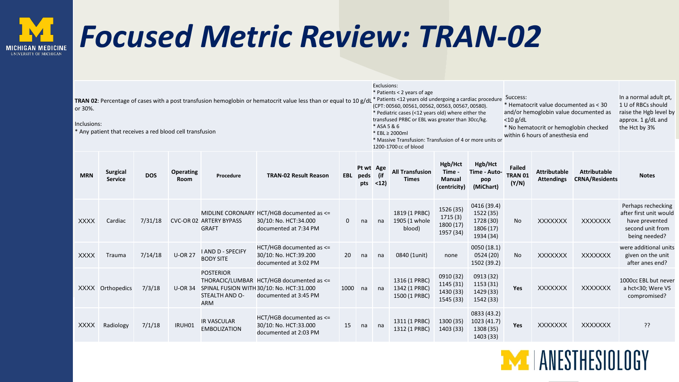## *Focused Metric Review: TRAN-02*

| TRAN 02: Percentage of cases with a post transfusion hemoglobin or hematocrit value less than or equal to 10 g/dL<br>or 30%.<br>Inclusions:<br>* Any patient that receives a red blood cell transfusion |                                   |            |                          |                                                  |                                                                                                               |      |                              |             | Exclusions:<br>* Patients < 2 years of age<br>* Patients <12 years old undergoing a cardiac procedure<br>(CPT: 00560, 00561, 00562, 00563, 00567, 00580).<br>* Pediatric cases (<12 years old) where either the<br>transfused PRBC or EBL was greater than 30cc/kg.<br>* ASA 5 & 6<br>* EBL $\geq 2000$ ml<br>* Massive Transfusion: Transfusion of 4 or more units or<br>1200-1700 cc of blood |                                                    |                                                                 |                                   | * Hematocrit value documented as < 30<br>and/or hemoglobin value documented as<br>* No hematocrit or hemoglobin checked<br>within 6 hours of anesthesia end | In a normal adult pt,<br>1 U of RBCs should<br>raise the Hgb level by<br>approx. 1 g/dL and<br>the Hct by 3% |                                                                                                     |
|---------------------------------------------------------------------------------------------------------------------------------------------------------------------------------------------------------|-----------------------------------|------------|--------------------------|--------------------------------------------------|---------------------------------------------------------------------------------------------------------------|------|------------------------------|-------------|-------------------------------------------------------------------------------------------------------------------------------------------------------------------------------------------------------------------------------------------------------------------------------------------------------------------------------------------------------------------------------------------------|----------------------------------------------------|-----------------------------------------------------------------|-----------------------------------|-------------------------------------------------------------------------------------------------------------------------------------------------------------|--------------------------------------------------------------------------------------------------------------|-----------------------------------------------------------------------------------------------------|
| <b>MRN</b>                                                                                                                                                                                              | <b>Surgical</b><br><b>Service</b> | <b>DOS</b> | <b>Operating</b><br>Room | Procedure                                        | <b>TRAN-02 Result Reason</b>                                                                                  |      | Pt wt Age<br>EBL peds<br>pts | (if<br>$12$ | <b>All Transfusion</b><br><b>Times</b>                                                                                                                                                                                                                                                                                                                                                          | Hgb/Hct<br>Time -<br><b>Manual</b><br>(centricity) | Hgb/Hct<br>Time - Auto-<br>pop<br>(MiChart)                     | <b>Failed</b><br>TRAN 01<br>(Y/N) | <b>Attributable</b><br><b>Attendings</b>                                                                                                                    | <b>Attributable</b><br><b>CRNA/Residents</b>                                                                 | <b>Notes</b>                                                                                        |
| <b>XXXX</b>                                                                                                                                                                                             | Cardiac                           | 7/31/18    |                          | <b>CVC-OR 02 ARTERY BYPASS</b><br><b>GRAFT</b>   | MIDLINE CORONARY HCT/HGB documented as <=<br>30/10: No. HCT:34.000<br>documented at 7:34 PM                   | 0    | na                           | na          | 1819 (1 PRBC)<br>1905 (1 whole<br>blood)                                                                                                                                                                                                                                                                                                                                                        | 1526 (35)<br>1715 (3)<br>1800 (17)<br>1957 (34)    | 0416 (39.4)<br>1522 (35)<br>1728 (30)<br>1806 (17)<br>1934 (34) | <b>No</b>                         | <b>XXXXXXX</b>                                                                                                                                              | <b>XXXXXXX</b>                                                                                               | Perhaps rechecking<br>after first unit would<br>have prevented<br>second unit from<br>being needed? |
| <b>XXXX</b>                                                                                                                                                                                             | Trauma                            | 7/14/18    | <b>U-OR 27</b>           | <b>I AND D - SPECIFY</b><br><b>BODY SITE</b>     | HCT/HGB documented as <=<br>30/10: No. HCT:39.200<br>documented at 3:02 PM                                    | 20   | na                           | na          | 0840 (1unit)                                                                                                                                                                                                                                                                                                                                                                                    | none                                               | 0050(18.1)<br>0524(20)<br>1502 (39.2)                           | <b>No</b>                         | <b>XXXXXXX</b>                                                                                                                                              | <b>XXXXXXX</b>                                                                                               | were additional units<br>given on the unit<br>after anes end?                                       |
|                                                                                                                                                                                                         | XXXX Orthopedics                  | 7/3/18     | <b>U-OR 34</b>           | <b>POSTERIOR</b><br>STEALTH AND O-<br><b>ARM</b> | THORACIC/LUMBAR HCT/HGB documented as <=<br>SPINAL FUSION WITH 30/10: No. HCT:31.000<br>documented at 3:45 PM | 1000 | na                           | na          | 1316 (1 PRBC)<br>1342 (1 PRBC)<br>1500 (1 PRBC)                                                                                                                                                                                                                                                                                                                                                 | 0910 (32)<br>1145 (31)<br>1430 (33)<br>1545 (33)   | 0913 (32)<br>1153 (31)<br>1429 (33)<br>1542 (33)                | Yes                               | <b>XXXXXXX</b>                                                                                                                                              | <b>XXXXXXX</b>                                                                                               | 1000cc EBL but never<br>a hct<30; Were VS<br>compromised?                                           |
| <b>XXXX</b>                                                                                                                                                                                             | Radiology                         | 7/1/18     | IRUH01                   | <b>IR VASCULAR</b><br><b>EMBOLIZATION</b>        | $HCT/HGB$ documented as $\leq$<br>30/10: No. HCT:33.000<br>documented at 2:03 PM                              | 15   | na                           | na          | 1311 (1 PRBC)<br>1312 (1 PRBC)                                                                                                                                                                                                                                                                                                                                                                  | 1300 (35)<br>1403 (33)                             | 0833 (43.2)<br>1023 (41.7)<br>1308 (35)<br>1403 (33)            | Yes                               | <b>XXXXXXX</b>                                                                                                                                              | <b>XXXXXXX</b>                                                                                               | ??                                                                                                  |

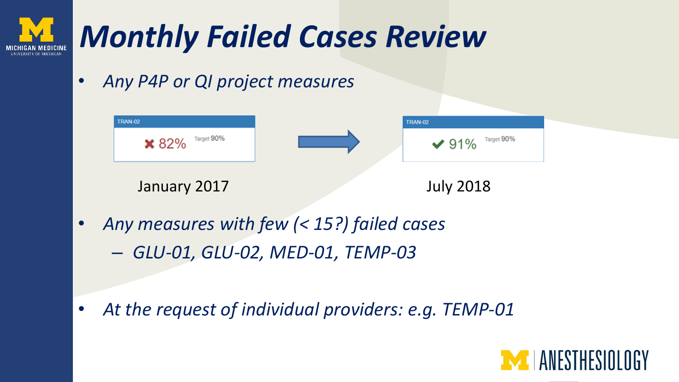

• *Any measures with few (< 15?) failed cases* – *GLU-01, GLU-02, MED-01, TEMP-03*

• *At the request of individual providers: e.g. TEMP-01*

January 2017 July 2018

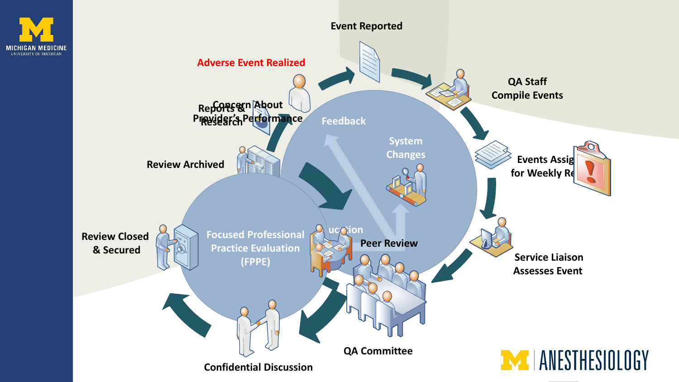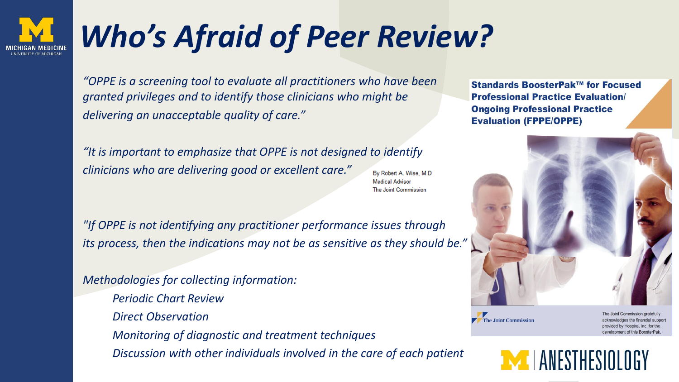## *Who's Afraid of Peer Review?*

*"OPPE is a screening tool to evaluate all practitioners who have been granted privileges and to identify those clinicians who might be delivering an unacceptable quality of care."*

"It is important to emphasize that OPPE is not designed to *identify clinicians who are delivering good or excellent care."*

By Robert A. Wise, M.D. **Medical Advisor The Joint Commission** 

*"If OPPE is not identifying any practitioner performance issues through its process, then the indications may not be as sensitive as they should be."*

*Methodologies for collecting information: Periodic Chart Review Direct Observation Monitoring of diagnostic and treatment techniques Discussion with other individuals involved in the care of each patient*

Standards BoosterPak™ for Focused **Professional Practice Evaluation/ Ongoing Professional Practice Evaluation (FPPE/OPPE)** 



The Joint Commission

The Joint Commission gratefully acknowledges the financial support provided by Hospira, Inc. for the development of this BoosterPak

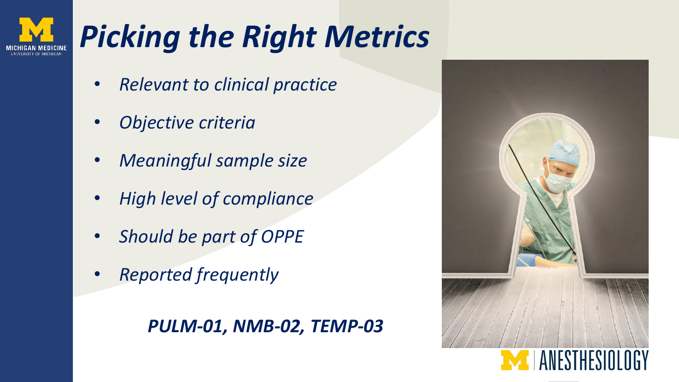## *Picking the Right Metrics*

- *Relevant to clinical practice*
- *Objective criteria*
- *Meaningful sample size*
- *High level of compliance*
- *Should be part of OPPE*
- *Reported frequently*

#### *PULM-01, NMB-02, TEMP-03*

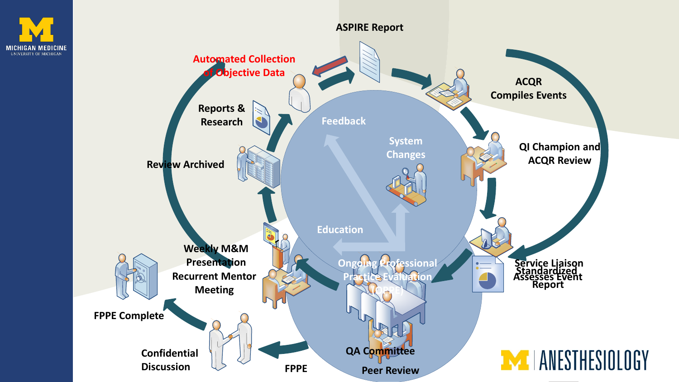